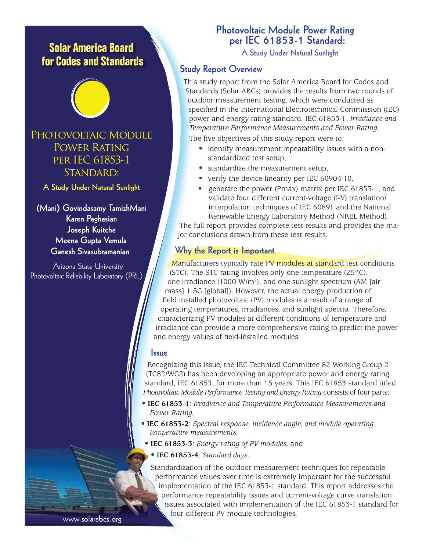# **Solar America Board for Codes and Standards**



PHOTOVOLTAIC MODULE POWER RATING per IEC 61853-1 STANDARD:

**A Study Under Natural Sunlight**

**(Mani) Govindasamy TamizhMani Karen Paghasian Joseph Kuitche Meena Gupta Vemula Ganesh Sivasubramanian**

Arizona State University Photovoltaic Reliability Laboratory (PRL)

## **Photovoltaic Module Power Rating per IEC 61853-1 Standard:**

**A Study Under Natural Sunlight**

#### **Study Report Overview**

This study report from the Solar America Board for Codes and Standards (Solar ABCs) provides the results from two rounds of outdoor measurement testing, which were conducted as specified in the International Electrotechnical Commission (IEC) power and energy rating standard, IEC 61853-1, *Irradiance and Temperature Performance Measurements and Power Rating.*

The five objectives of this study report were to:

- identify measurement repeatability issues with a non standardized test setup,
- standardize the measurement setup,
- verify the device linearity per IEC 60904-10,
- generate the power (Pmax) matrix per IEC 61853-1, and validate four different current-voltage (I-V) translation/ interpolation techniques of IEC 60891 and the National Renewable Energy Laboratory Method (NREL Method).

The full report provides complete test results and provides the major conclusions drawn from these test results.

#### **Why the Report is Important**

Manufacturers typically rate PV modules at standard test conditions (STC). The STC rating involves only one temperature (25°C), one irradiance (1000 W/m<sup>2</sup>), and one sunlight spectrum (AM [air mass] 1.5G [global]). However, the actual energy production of field installed photovoltaic (PV) modules is a result of a range of operating temperatures, irradiances, and sunlight spectra. Therefore, characterizing PV modules at different conditions of temperature and irradiance can provide a more comprehensive rating to predict the power and energy values of field-installed modules.

#### **Issue**

Recognizing this issue, the IEC Technical Committee 82 Working Group 2 (TC82/WG2) has been developing an appropriate power and energy rating standard, IEC 61853, for more than 15 years. This IEC 61853 standard titled *Photovoltaic Module Performance Testing and Energy Rating* consists of four parts:

- **IEC 61853-1**: *Irradiance and Temperature Performance Measurements and Power Rating,*
- **IEC 61853-2**: *Spectral response, incidence angle, and module operating temperature measurements,*
- • **IEC 61853-3**: *Energy rating of PV modules,* and
- **IEC 61853-4**: *Standard days*.

Standardization of the outdoor measurement techniques for repeatable performance values over time is extremely important for the successful implementation of the IEC 61853-1 standard. This report addresses the performance repeatability issues and current-voltage curve translation issues associated with implementation of the IEC 61853-1 standard for four different PV module technologies.

www.solarabcs.org